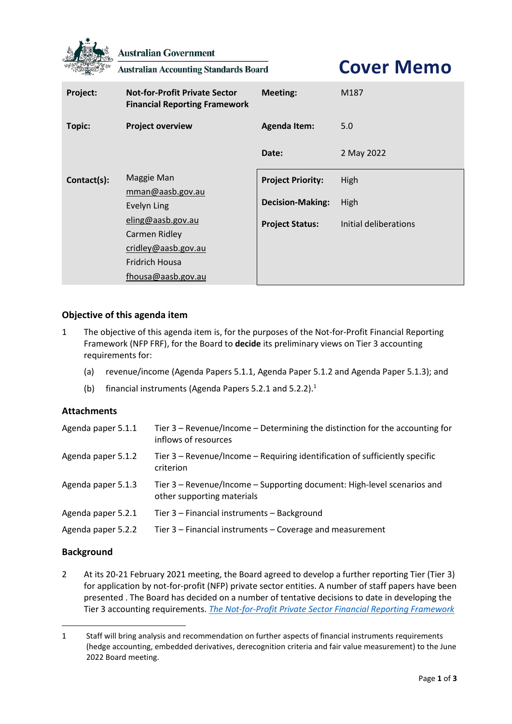

**Australian Government** 

**Australian Accounting Standards Board** 

**Cover Memo**

| Project:      | <b>Not-for-Profit Private Sector</b><br><b>Financial Reporting Framework</b>                                                                              | <b>Meeting:</b>          | M187                  |
|---------------|-----------------------------------------------------------------------------------------------------------------------------------------------------------|--------------------------|-----------------------|
| <b>Topic:</b> | <b>Project overview</b>                                                                                                                                   | <b>Agenda Item:</b>      | 5.0                   |
|               |                                                                                                                                                           | Date:                    | 2 May 2022            |
| Contact(s):   | Maggie Man<br>mman@aasb.gov.au<br>Evelyn Ling<br>eling@aasb.gov.au<br>Carmen Ridley<br>cridley@aasb.gov.au<br><b>Fridrich Housa</b><br>fhousa@aasb.gov.au | <b>Project Priority:</b> | High                  |
|               |                                                                                                                                                           | <b>Decision-Making:</b>  | High                  |
|               |                                                                                                                                                           | <b>Project Status:</b>   | Initial deliberations |

## **Objective of this agenda item**

- 1 The objective of this agenda item is, for the purposes of the Not-for-Profit Financial Reporting Framework (NFP FRF), for the Board to **decide** its preliminary views on Tier 3 accounting requirements for:
	- (a) revenue/income (Agenda Papers 5.1.1, Agenda Paper 5.1.2 and Agenda Paper 5.1.3); and
	- (b) financial instruments (Agenda Papers 5.2.1 and 5.2.2).<sup>1</sup>

## **Attachments**

| Agenda paper 5.1.1 | Tier 3 – Revenue/Income – Determining the distinction for the accounting for<br>inflows of resources  |
|--------------------|-------------------------------------------------------------------------------------------------------|
| Agenda paper 5.1.2 | Tier 3 – Revenue/Income – Requiring identification of sufficiently specific<br>criterion              |
| Agenda paper 5.1.3 | Tier 3 – Revenue/Income – Supporting document: High-level scenarios and<br>other supporting materials |
| Agenda paper 5.2.1 | Tier 3 - Financial instruments - Background                                                           |
| Agenda paper 5.2.2 | Tier 3 - Financial instruments - Coverage and measurement                                             |

## **Background**

2 At its 20-21 February 2021 meeting, the Board agreed to develop a further reporting Tier (Tier 3) for application by not-for-profit (NFP) private sector entities. A number of staff papers have been presented . The Board has decided on a number of tentative decisions to date in developing the Tier 3 accounting requirements. *The Not-for-Profit Private Sector Financial Reporting Framework* 

<sup>1</sup> Staff will bring analysis and recommendation on further aspects of financial instruments requirements (hedge accounting, embedded derivatives, derecognition criteria and fair value measurement) to the June 2022 Board meeting.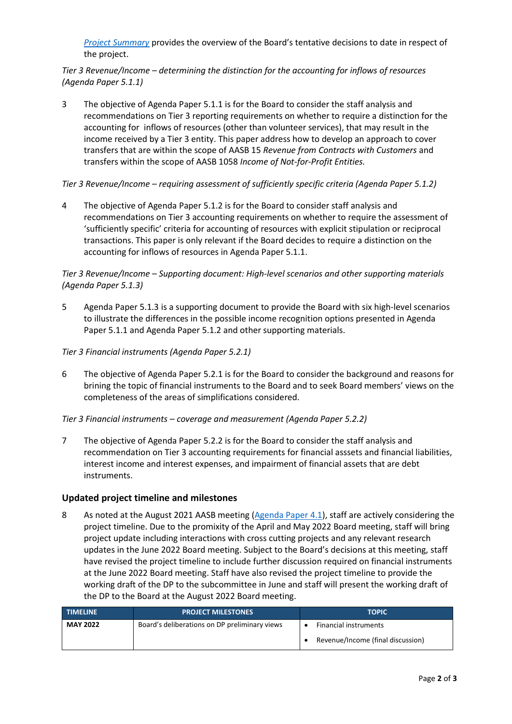*[Project Summary](https://aasb.gov.au/media/wrokpc24/ps_afr-nfp_11-16.pdf)* provides the overview of the Board's tentative decisions to date in respect of the project.

*Tier 3 Revenue/Income – determining the distinction for the accounting for inflows of resources (Agenda Paper 5.1.1)*

3 The objective of Agenda Paper 5.1.1 is for the Board to consider the staff analysis and recommendations on Tier 3 reporting requirements on whether to require a distinction for the accounting for inflows of resources (other than volunteer services), that may result in the income received by a Tier 3 entity. This paper address how to develop an approach to cover transfers that are within the scope of AASB 15 *Revenue from Contracts with Customers* and transfers within the scope of AASB 1058 *Income of Not-for-Profit Entities.*

#### *Tier 3 Revenue/Income – requiring assessment of sufficiently specific criteria (Agenda Paper 5.1.2)*

4 The objective of Agenda Paper 5.1.2 is for the Board to consider staff analysis and recommendations on Tier 3 accounting requirements on whether to require the assessment of 'sufficiently specific' criteria for accounting of resources with explicit stipulation or reciprocal transactions. This paper is only relevant if the Board decides to require a distinction on the accounting for inflows of resources in Agenda Paper 5.1.1.

## *Tier 3 Revenue/Income – Supporting document: High-level scenarios and other supporting materials (Agenda Paper 5.1.3)*

5 Agenda Paper 5.1.3 is a supporting document to provide the Board with six high-level scenarios to illustrate the differences in the possible income recognition options presented in Agenda Paper 5.1.1 and Agenda Paper 5.1.2 and other supporting materials.

#### *Tier 3 Financial instruments (Agenda Paper 5.2.1)*

6 The objective of Agenda Paper 5.2.1 is for the Board to consider the background and reasons for brining the topic of financial instruments to the Board and to seek Board members' views on the completeness of the areas of simplifications considered.

#### *Tier 3 Financial instruments – coverage and measurement (Agenda Paper 5.2.2)*

7 The objective of Agenda Paper 5.2.2 is for the Board to consider the staff analysis and recommendation on Tier 3 accounting requirements for financial asssets and financial liabilities, interest income and interest expenses, and impairment of financial assets that are debt instruments.

#### **Updated project timeline and milestones**

<span id="page-1-0"></span>8 As noted at the August 2021 AASB meeting [\(Agenda Paper 4.1\)](https://aasb.gov.au/media/hd0kig2j/4-1_sp_covermemo_m182_pp.pdf), staff are actively considering the project timeline. Due to the promixity of the April and May 2022 Board meeting, staff will bring project update including interactions with cross cutting projects and any relevant research updates in the June 2022 Board meeting. Subject to the Board's decisions at this meeting, staff have revised the project timeline to include further discussion required on financial instruments at the June 2022 Board meeting. Staff have also revised the project timeline to provide the working draft of the DP to the subcommittee in June and staff will present the working draft of the DP to the Board at the August 2022 Board meeting.

| <b>TIMELINE</b> | <b>PROJECT MILESTONES</b>                     | <b>TOPIC</b>                      |
|-----------------|-----------------------------------------------|-----------------------------------|
| <b>MAY 2022</b> | Board's deliberations on DP preliminary views | <b>Financial instruments</b>      |
|                 |                                               | Revenue/Income (final discussion) |